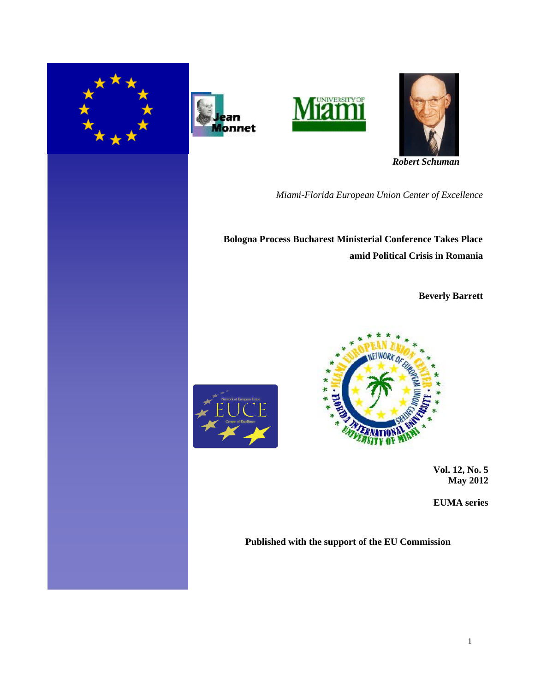







 *Robert Schuman*

*Miami-Florida European Union Center of Excellence*

**Bologna Process Bucharest Ministerial Conference Takes Place amid Political Crisis in Romania**

**Beverly Barrett**





 **Vol. 12, No. 5 May 2012**

**EUMA series** 

**Published with the support of the EU Commission**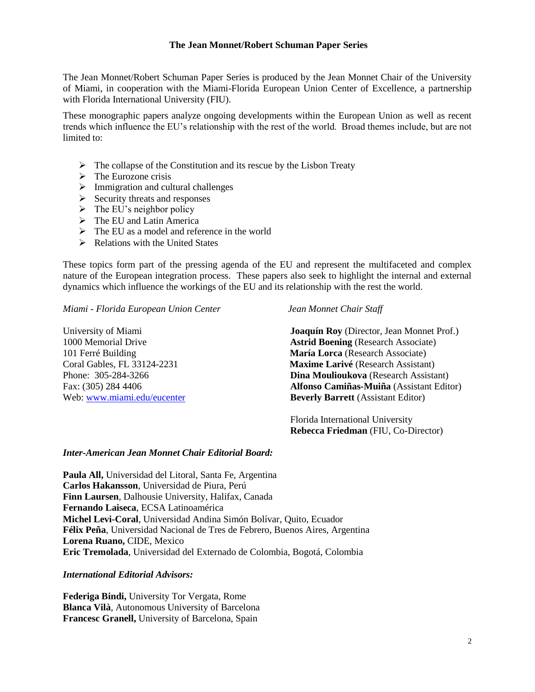#### **The Jean Monnet/Robert Schuman Paper Series**

The Jean Monnet/Robert Schuman Paper Series is produced by the Jean Monnet Chair of the University of Miami, in cooperation with the Miami-Florida European Union Center of Excellence, a partnership with Florida International University (FIU).

These monographic papers analyze ongoing developments within the European Union as well as recent trends which influence the EU's relationship with the rest of the world. Broad themes include, but are not limited to:

- $\triangleright$  The collapse of the Constitution and its rescue by the Lisbon Treaty
- $\triangleright$  The Eurozone crisis
- $\triangleright$  Immigration and cultural challenges
- $\triangleright$  Security threats and responses
- $\triangleright$  The EU's neighbor policy
- $\triangleright$  The EU and Latin America
- $\triangleright$  The EU as a model and reference in the world
- $\triangleright$  Relations with the United States

These topics form part of the pressing agenda of the EU and represent the multifaceted and complex nature of the European integration process. These papers also seek to highlight the internal and external dynamics which influence the workings of the EU and its relationship with the rest the world.

*Miami - Florida European Union Center Jean Monnet Chair Staff*

University of Miami **Joaquín Roy** (Director, Jean Monnet Prof.) 1000 Memorial Drive **Astrid Boening** (Research Associate) 101 Ferré Building **María Lorca** (Research Associate) Coral Gables, FL 33124-2231 **Maxime Larivé** (Research Assistant) Phone: 305-284-3266 **Dina Moulioukova** (Research Assistant) Fax: (305) 284 4406 **Alfonso Camiñas-Muiña** (Assistant Editor) Web: [www.miami.edu/eucenter](http://www.miami.edu/eucenter) **Beverly Barrett** (Assistant Editor)

> Florida International University  **Rebecca Friedman** (FIU, Co-Director)

#### *Inter-American Jean Monnet Chair Editorial Board:*

**Paula All,** Universidad del Litoral, Santa Fe, Argentina **Carlos Hakansson**, Universidad de Piura, Perú **Finn Laursen**, Dalhousie University, Halifax, Canada **Fernando Laiseca**, ECSA Latinoamérica **Michel Levi-Coral**, Universidad Andina Simón Bolívar, Quito, Ecuador **Félix Peña**, Universidad Nacional de Tres de Febrero, Buenos Aires, Argentina **Lorena Ruano,** CIDE, Mexico **Eric Tremolada**, Universidad del Externado de Colombia, Bogotá, Colombia

*International Editorial Advisors:*

**Federiga Bindi,** University Tor Vergata, Rome **Blanca Vilà**, Autonomous University of Barcelona **Francesc Granell,** University of Barcelona, Spain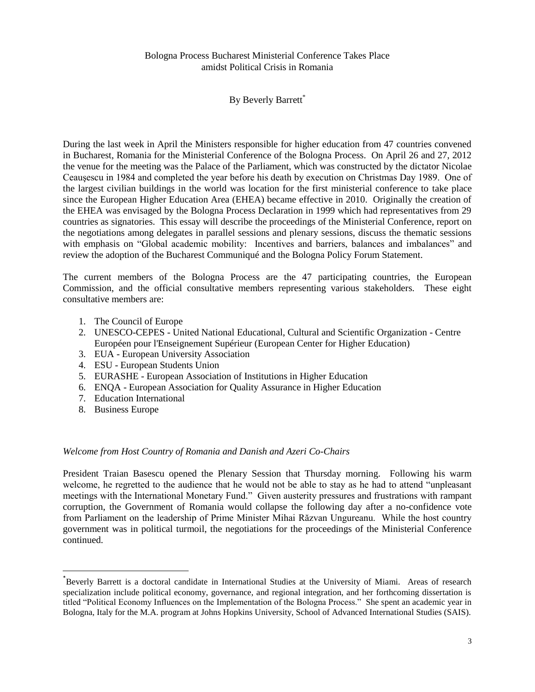# Bologna Process Bucharest Ministerial Conference Takes Place amidst Political Crisis in Romania

# By Beverly Barrett\*

During the last week in April the Ministers responsible for higher education from 47 countries convened in Bucharest, Romania for the Ministerial Conference of the Bologna Process. On April 26 and 27, 2012 the venue for the meeting was the Palace of the Parliament, which was constructed by the dictator Nicolae Ceauşescu in 1984 and completed the year before his death by execution on Christmas Day 1989. One of the largest civilian buildings in the world was location for the first ministerial conference to take place since the European Higher Education Area (EHEA) became effective in 2010. Originally the creation of the EHEA was envisaged by the Bologna Process Declaration in 1999 which had representatives from 29 countries as signatories. This essay will describe the proceedings of the Ministerial Conference, report on the negotiations among delegates in parallel sessions and plenary sessions, discuss the thematic sessions with emphasis on "Global academic mobility: Incentives and barriers, balances and imbalances" and review the adoption of the Bucharest Communiqué and the Bologna Policy Forum Statement.

The current members of the Bologna Process are the 47 participating countries, the European Commission, and the official consultative members representing various stakeholders. These eight consultative members are:

- 1. The Council of Europe
- 2. UNESCO-CEPES United National Educational, Cultural and Scientific Organization Centre Européen pour l'Enseignement Supérieur (European Center for Higher Education)
- 3. EUA European University Association
- 4. ESU European Students Union
- 5. EURASHE European Association of Institutions in Higher Education
- 6. ENQA European Association for Quality Assurance in Higher Education
- 7. Education International
- 8. Business Europe

 $\overline{\phantom{a}}$ 

# *Welcome from Host Country of Romania and Danish and Azeri Co-Chairs*

President Traian Basescu opened the Plenary Session that Thursday morning. Following his warm welcome, he regretted to the audience that he would not be able to stay as he had to attend "unpleasant meetings with the International Monetary Fund." Given austerity pressures and frustrations with rampant corruption, the Government of Romania would collapse the following day after a no-confidence vote from Parliament on the leadership of Prime Minister Mihai Răzvan Ungureanu. While the host country government was in political turmoil, the negotiations for the proceedings of the Ministerial Conference continued.

<sup>\*</sup> Beverly Barrett is a doctoral candidate in International Studies at the University of Miami. Areas of research specialization include political economy, governance, and regional integration, and her forthcoming dissertation is titled "Political Economy Influences on the Implementation of the Bologna Process." She spent an academic year in Bologna, Italy for the M.A. program at Johns Hopkins University, School of Advanced International Studies (SAIS).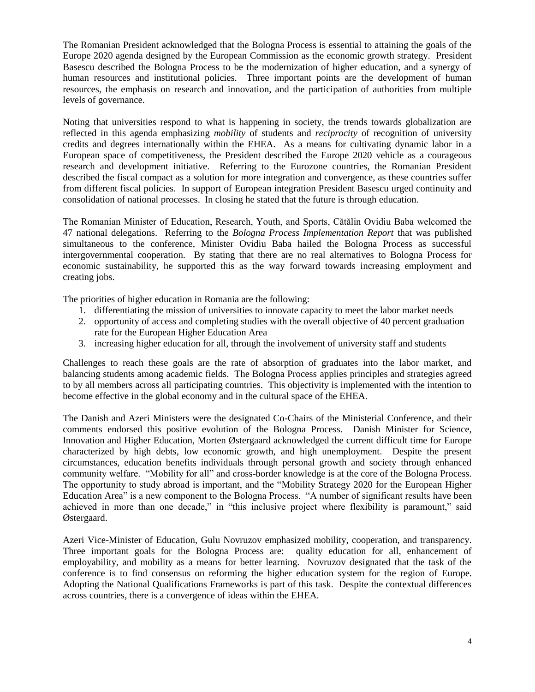The Romanian President acknowledged that the Bologna Process is essential to attaining the goals of the Europe 2020 agenda designed by the European Commission as the economic growth strategy. President Basescu described the Bologna Process to be the modernization of higher education, and a synergy of human resources and institutional policies. Three important points are the development of human resources, the emphasis on research and innovation, and the participation of authorities from multiple levels of governance.

Noting that universities respond to what is happening in society, the trends towards globalization are reflected in this agenda emphasizing *mobility* of students and *reciprocity* of recognition of university credits and degrees internationally within the EHEA. As a means for cultivating dynamic labor in a European space of competitiveness, the President described the Europe 2020 vehicle as a courageous research and development initiative. Referring to the Eurozone countries, the Romanian President described the fiscal compact as a solution for more integration and convergence, as these countries suffer from different fiscal policies. In support of European integration President Basescu urged continuity and consolidation of national processes. In closing he stated that the future is through education.

The Romanian Minister of Education, Research, Youth, and Sports, Cătălin Ovidiu Baba welcomed the 47 national delegations. Referring to the *Bologna Process Implementation Report* that was published simultaneous to the conference, Minister Ovidiu Baba hailed the Bologna Process as successful intergovernmental cooperation. By stating that there are no real alternatives to Bologna Process for economic sustainability, he supported this as the way forward towards increasing employment and creating jobs.

The priorities of higher education in Romania are the following:

- 1. differentiating the mission of universities to innovate capacity to meet the labor market needs
- 2. opportunity of access and completing studies with the overall objective of 40 percent graduation rate for the European Higher Education Area
- 3. increasing higher education for all, through the involvement of university staff and students

Challenges to reach these goals are the rate of absorption of graduates into the labor market, and balancing students among academic fields. The Bologna Process applies principles and strategies agreed to by all members across all participating countries. This objectivity is implemented with the intention to become effective in the global economy and in the cultural space of the EHEA.

The Danish and Azeri Ministers were the designated Co-Chairs of the Ministerial Conference, and their comments endorsed this positive evolution of the Bologna Process. Danish Minister for Science, Innovation and Higher Education, Morten Østergaard acknowledged the current difficult time for Europe characterized by high debts, low economic growth, and high unemployment. Despite the present circumstances, education benefits individuals through personal growth and society through enhanced community welfare. "Mobility for all" and cross-border knowledge is at the core of the Bologna Process. The opportunity to study abroad is important, and the "Mobility Strategy 2020 for the European Higher Education Area" is a new component to the Bologna Process. "A number of significant results have been achieved in more than one decade," in "this inclusive project where flexibility is paramount," said Østergaard.

Azeri Vice-Minister of Education, Gulu Novruzov emphasized mobility, cooperation, and transparency. Three important goals for the Bologna Process are: quality education for all, enhancement of employability, and mobility as a means for better learning. Novruzov designated that the task of the conference is to find consensus on reforming the higher education system for the region of Europe. Adopting the National Qualifications Frameworks is part of this task. Despite the contextual differences across countries, there is a convergence of ideas within the EHEA.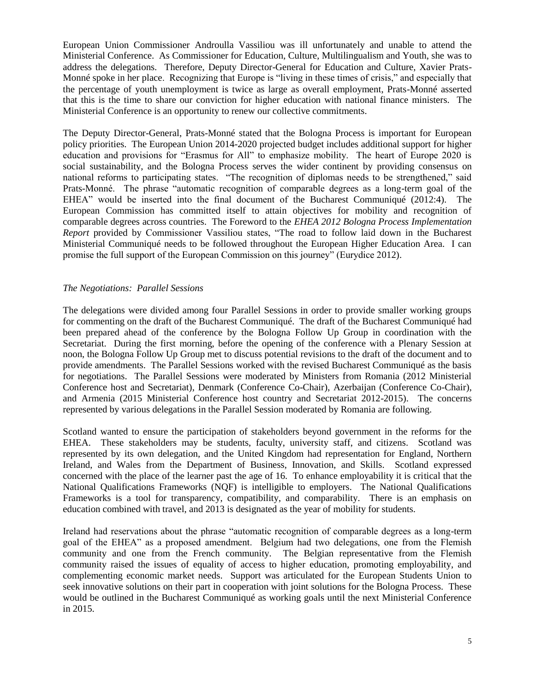European Union Commissioner Androulla Vassiliou was ill unfortunately and unable to attend the Ministerial Conference. As Commissioner for Education, Culture, Multilingualism and Youth, she was to address the delegations. Therefore, Deputy Director-General for Education and Culture, Xavier Prats-Monné spoke in her place. Recognizing that Europe is "living in these times of crisis," and especially that the percentage of youth unemployment is twice as large as overall employment, Prats-Monné asserted that this is the time to share our conviction for higher education with national finance ministers. The Ministerial Conference is an opportunity to renew our collective commitments.

The Deputy Director-General, Prats-Monné stated that the Bologna Process is important for European policy priorities. The European Union 2014-2020 projected budget includes additional support for higher education and provisions for "Erasmus for All" to emphasize mobility. The heart of Europe 2020 is social sustainability, and the Bologna Process serves the wider continent by providing consensus on national reforms to participating states. "The recognition of diplomas needs to be strengthened," said Prats-Monné. The phrase "automatic recognition of comparable degrees as a long-term goal of the EHEA" would be inserted into the final document of the Bucharest Communiqué (2012:4). The European Commission has committed itself to attain objectives for mobility and recognition of comparable degrees across countries. The Foreword to the *EHEA 2012 Bologna Process Implementation Report* provided by Commissioner Vassiliou states, "The road to follow laid down in the Bucharest Ministerial Communiqué needs to be followed throughout the European Higher Education Area. I can promise the full support of the European Commission on this journey" (Eurydice 2012).

# *The Negotiations: Parallel Sessions*

The delegations were divided among four Parallel Sessions in order to provide smaller working groups for commenting on the draft of the Bucharest Communiqué. The draft of the Bucharest Communiqué had been prepared ahead of the conference by the Bologna Follow Up Group in coordination with the Secretariat. During the first morning, before the opening of the conference with a Plenary Session at noon, the Bologna Follow Up Group met to discuss potential revisions to the draft of the document and to provide amendments. The Parallel Sessions worked with the revised Bucharest Communiqué as the basis for negotiations. The Parallel Sessions were moderated by Ministers from Romania (2012 Ministerial Conference host and Secretariat), Denmark (Conference Co-Chair), Azerbaijan (Conference Co-Chair), and Armenia (2015 Ministerial Conference host country and Secretariat 2012-2015). The concerns represented by various delegations in the Parallel Session moderated by Romania are following.

Scotland wanted to ensure the participation of stakeholders beyond government in the reforms for the EHEA. These stakeholders may be students, faculty, university staff, and citizens. Scotland was represented by its own delegation, and the United Kingdom had representation for England, Northern Ireland, and Wales from the Department of Business, Innovation, and Skills. Scotland expressed concerned with the place of the learner past the age of 16. To enhance employability it is critical that the National Qualifications Frameworks (NQF) is intelligible to employers. The National Qualifications Frameworks is a tool for transparency, compatibility, and comparability. There is an emphasis on education combined with travel, and 2013 is designated as the year of mobility for students.

Ireland had reservations about the phrase "automatic recognition of comparable degrees as a long-term goal of the EHEA" as a proposed amendment. Belgium had two delegations, one from the Flemish community and one from the French community. The Belgian representative from the Flemish community raised the issues of equality of access to higher education, promoting employability, and complementing economic market needs. Support was articulated for the European Students Union to seek innovative solutions on their part in cooperation with joint solutions for the Bologna Process. These would be outlined in the Bucharest Communiqué as working goals until the next Ministerial Conference in 2015.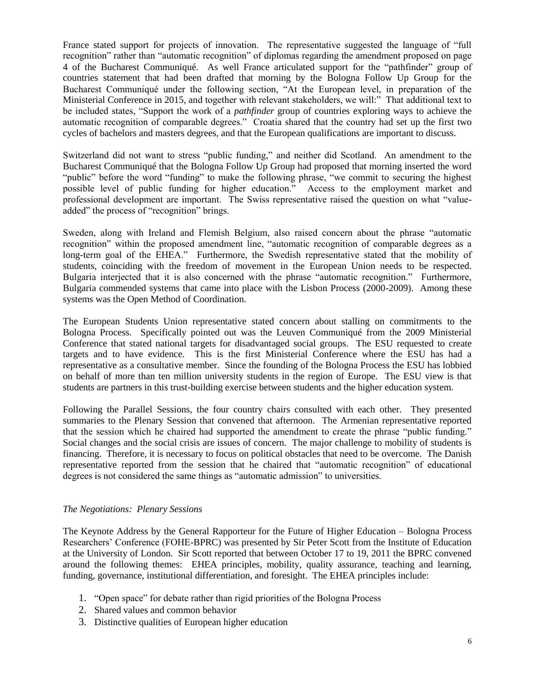France stated support for projects of innovation. The representative suggested the language of "full recognition" rather than "automatic recognition" of diplomas regarding the amendment proposed on page 4 of the Bucharest Communiqué. As well France articulated support for the "pathfinder" group of countries statement that had been drafted that morning by the Bologna Follow Up Group for the Bucharest Communiqué under the following section, "At the European level, in preparation of the Ministerial Conference in 2015, and together with relevant stakeholders, we will:" That additional text to be included states, "Support the work of a *pathfinder* group of countries exploring ways to achieve the automatic recognition of comparable degrees." Croatia shared that the country had set up the first two cycles of bachelors and masters degrees, and that the European qualifications are important to discuss.

Switzerland did not want to stress "public funding," and neither did Scotland. An amendment to the Bucharest Communiqué that the Bologna Follow Up Group had proposed that morning inserted the word "public" before the word "funding" to make the following phrase, "we commit to securing the highest possible level of public funding for higher education." Access to the employment market and professional development are important. The Swiss representative raised the question on what "valueadded" the process of "recognition" brings.

Sweden, along with Ireland and Flemish Belgium, also raised concern about the phrase "automatic recognition" within the proposed amendment line, "automatic recognition of comparable degrees as a long-term goal of the EHEA." Furthermore, the Swedish representative stated that the mobility of students, coinciding with the freedom of movement in the European Union needs to be respected. Bulgaria interjected that it is also concerned with the phrase "automatic recognition." Furthermore, Bulgaria commended systems that came into place with the Lisbon Process (2000-2009). Among these systems was the Open Method of Coordination.

The European Students Union representative stated concern about stalling on commitments to the Bologna Process. Specifically pointed out was the Leuven Communiqué from the 2009 Ministerial Conference that stated national targets for disadvantaged social groups. The ESU requested to create targets and to have evidence. This is the first Ministerial Conference where the ESU has had a representative as a consultative member. Since the founding of the Bologna Process the ESU has lobbied on behalf of more than ten million university students in the region of Europe. The ESU view is that students are partners in this trust-building exercise between students and the higher education system.

Following the Parallel Sessions, the four country chairs consulted with each other. They presented summaries to the Plenary Session that convened that afternoon. The Armenian representative reported that the session which he chaired had supported the amendment to create the phrase "public funding." Social changes and the social crisis are issues of concern. The major challenge to mobility of students is financing. Therefore, it is necessary to focus on political obstacles that need to be overcome. The Danish representative reported from the session that he chaired that "automatic recognition" of educational degrees is not considered the same things as "automatic admission" to universities.

# *The Negotiations: Plenary Sessions*

The Keynote Address by the General Rapporteur for the Future of Higher Education – Bologna Process Researchers' Conference (FOHE-BPRC) was presented by Sir Peter Scott from the Institute of Education at the University of London. Sir Scott reported that between October 17 to 19, 2011 the BPRC convened around the following themes: EHEA principles, mobility, quality assurance, teaching and learning, funding, governance, institutional differentiation, and foresight. The EHEA principles include:

- 1. "Open space" for debate rather than rigid priorities of the Bologna Process
- 2. Shared values and common behavior
- 3. Distinctive qualities of European higher education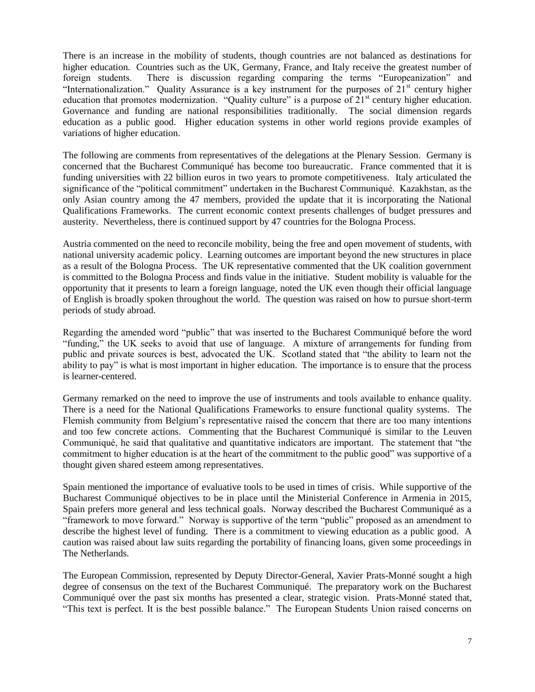There is an increase in the mobility of students, though countries are not balanced as destinations for higher education. Countries such as the UK, Germany, France, and Italy receive the greatest number of foreign students. There is discussion regarding comparing the terms "Europeanization" and "Internationalization." Quality Assurance is a key instrument for the purposes of  $21<sup>st</sup>$  century higher education that promotes modernization. "Quality culture" is a purpose of  $21<sup>st</sup>$  century higher education. Governance and funding are national responsibilities traditionally. The social dimension regards education as a public good. Higher education systems in other world regions provide examples of variations of higher education.

The following are comments from representatives of the delegations at the Plenary Session. Germany is concerned that the Bucharest Communiqué has become too bureaucratic. France commented that it is funding universities with 22 billion euros in two years to promote competitiveness. Italy articulated the significance of the "political commitment" undertaken in the Bucharest Communiqué. Kazakhstan, as the only Asian country among the 47 members, provided the update that it is incorporating the National Qualifications Frameworks. The current economic context presents challenges of budget pressures and austerity. Nevertheless, there is continued support by 47 countries for the Bologna Process.

Austria commented on the need to reconcile mobility, being the free and open movement of students, with national university academic policy. Learning outcomes are important beyond the new structures in place as a result of the Bologna Process. The UK representative commented that the UK coalition government is committed to the Bologna Process and finds value in the initiative. Student mobility is valuable for the opportunity that it presents to learn a foreign language, noted the UK even though their official language of English is broadly spoken throughout the world. The question was raised on how to pursue short-term periods of study abroad.

Regarding the amended word "public" that was inserted to the Bucharest Communiqué before the word "funding," the UK seeks to avoid that use of language. A mixture of arrangements for funding from public and private sources is best, advocated the UK. Scotland stated that "the ability to learn not the ability to pay" is what is most important in higher education. The importance is to ensure that the process is learner-centered.

Germany remarked on the need to improve the use of instruments and tools available to enhance quality. There is a need for the National Qualifications Frameworks to ensure functional quality systems. The Flemish community from Belgium's representative raised the concern that there are too many intentions and too few concrete actions. Commenting that the Bucharest Communiqué is similar to the Leuven Communiqué, he said that qualitative and quantitative indicators are important. The statement that "the commitment to higher education is at the heart of the commitment to the public good" was supportive of a thought given shared esteem among representatives.

Spain mentioned the importance of evaluative tools to be used in times of crisis. While supportive of the Bucharest Communiqué objectives to be in place until the Ministerial Conference in Armenia in 2015, Spain prefers more general and less technical goals. Norway described the Bucharest Communiqué as a "framework to move forward." Norway is supportive of the term "public" proposed as an amendment to describe the highest level of funding. There is a commitment to viewing education as a public good. A caution was raised about law suits regarding the portability of financing loans, given some proceedings in The Netherlands.

The European Commission, represented by Deputy Director-General, Xavier Prats-Monné sought a high degree of consensus on the text of the Bucharest Communiqué. The preparatory work on the Bucharest Communiqué over the past six months has presented a clear, strategic vision. Prats-Monné stated that, "This text is perfect. It is the best possible balance." The European Students Union raised concerns on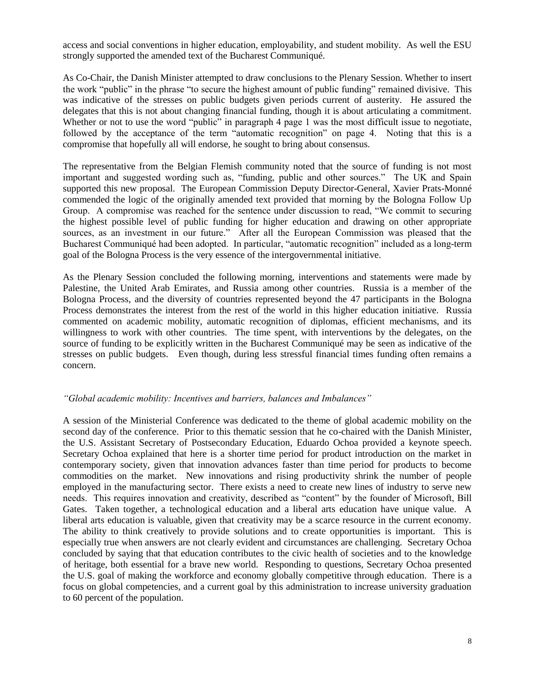access and social conventions in higher education, employability, and student mobility. As well the ESU strongly supported the amended text of the Bucharest Communiqué.

As Co-Chair, the Danish Minister attempted to draw conclusions to the Plenary Session. Whether to insert the work "public" in the phrase "to secure the highest amount of public funding" remained divisive. This was indicative of the stresses on public budgets given periods current of austerity. He assured the delegates that this is not about changing financial funding, though it is about articulating a commitment. Whether or not to use the word "public" in paragraph 4 page 1 was the most difficult issue to negotiate, followed by the acceptance of the term "automatic recognition" on page 4. Noting that this is a compromise that hopefully all will endorse, he sought to bring about consensus.

The representative from the Belgian Flemish community noted that the source of funding is not most important and suggested wording such as, "funding, public and other sources." The UK and Spain supported this new proposal. The European Commission Deputy Director-General, Xavier Prats-Monné commended the logic of the originally amended text provided that morning by the Bologna Follow Up Group. A compromise was reached for the sentence under discussion to read, "We commit to securing the highest possible level of public funding for higher education and drawing on other appropriate sources, as an investment in our future." After all the European Commission was pleased that the Bucharest Communiqué had been adopted. In particular, "automatic recognition" included as a long-term goal of the Bologna Process is the very essence of the intergovernmental initiative.

As the Plenary Session concluded the following morning, interventions and statements were made by Palestine, the United Arab Emirates, and Russia among other countries. Russia is a member of the Bologna Process, and the diversity of countries represented beyond the 47 participants in the Bologna Process demonstrates the interest from the rest of the world in this higher education initiative. Russia commented on academic mobility, automatic recognition of diplomas, efficient mechanisms, and its willingness to work with other countries. The time spent, with interventions by the delegates, on the source of funding to be explicitly written in the Bucharest Communiqué may be seen as indicative of the stresses on public budgets. Even though, during less stressful financial times funding often remains a concern.

# *"Global academic mobility: Incentives and barriers, balances and Imbalances"*

A session of the Ministerial Conference was dedicated to the theme of global academic mobility on the second day of the conference. Prior to this thematic session that he co-chaired with the Danish Minister, the U.S. Assistant Secretary of Postsecondary Education, Eduardo Ochoa provided a keynote speech. Secretary Ochoa explained that here is a shorter time period for product introduction on the market in contemporary society, given that innovation advances faster than time period for products to become commodities on the market. New innovations and rising productivity shrink the number of people employed in the manufacturing sector. There exists a need to create new lines of industry to serve new needs. This requires innovation and creativity, described as "content" by the founder of Microsoft, Bill Gates. Taken together, a technological education and a liberal arts education have unique value. A liberal arts education is valuable, given that creativity may be a scarce resource in the current economy. The ability to think creatively to provide solutions and to create opportunities is important. This is especially true when answers are not clearly evident and circumstances are challenging. Secretary Ochoa concluded by saying that that education contributes to the civic health of societies and to the knowledge of heritage, both essential for a brave new world. Responding to questions, Secretary Ochoa presented the U.S. goal of making the workforce and economy globally competitive through education. There is a focus on global competencies, and a current goal by this administration to increase university graduation to 60 percent of the population.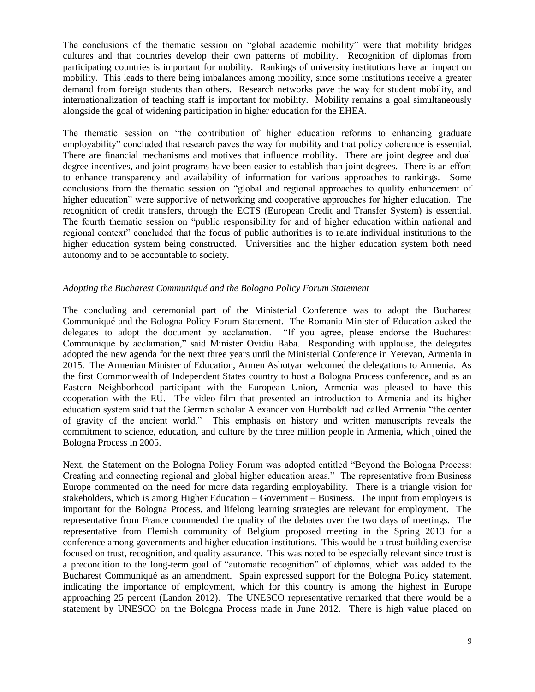The conclusions of the thematic session on "global academic mobility" were that mobility bridges cultures and that countries develop their own patterns of mobility. Recognition of diplomas from participating countries is important for mobility. Rankings of university institutions have an impact on mobility. This leads to there being imbalances among mobility, since some institutions receive a greater demand from foreign students than others. Research networks pave the way for student mobility, and internationalization of teaching staff is important for mobility. Mobility remains a goal simultaneously alongside the goal of widening participation in higher education for the EHEA.

The thematic session on "the contribution of higher education reforms to enhancing graduate employability" concluded that research paves the way for mobility and that policy coherence is essential. There are financial mechanisms and motives that influence mobility. There are joint degree and dual degree incentives, and joint programs have been easier to establish than joint degrees. There is an effort to enhance transparency and availability of information for various approaches to rankings. Some conclusions from the thematic session on "global and regional approaches to quality enhancement of higher education" were supportive of networking and cooperative approaches for higher education. The recognition of credit transfers, through the ECTS (European Credit and Transfer System) is essential. The fourth thematic session on "public responsibility for and of higher education within national and regional context" concluded that the focus of public authorities is to relate individual institutions to the higher education system being constructed. Universities and the higher education system both need autonomy and to be accountable to society.

# *Adopting the Bucharest Communiqué and the Bologna Policy Forum Statement*

The concluding and ceremonial part of the Ministerial Conference was to adopt the Bucharest Communiqué and the Bologna Policy Forum Statement. The Romania Minister of Education asked the delegates to adopt the document by acclamation. "If you agree, please endorse the Bucharest Communiqué by acclamation," said Minister Ovidiu Baba. Responding with applause, the delegates adopted the new agenda for the next three years until the Ministerial Conference in Yerevan, Armenia in 2015. The Armenian Minister of Education, Armen Ashotyan welcomed the delegations to Armenia. As the first Commonwealth of Independent States country to host a Bologna Process conference, and as an Eastern Neighborhood participant with the European Union, Armenia was pleased to have this cooperation with the EU. The video film that presented an introduction to Armenia and its higher education system said that the German scholar Alexander von Humboldt had called Armenia "the center of gravity of the ancient world." This emphasis on history and written manuscripts reveals the commitment to science, education, and culture by the three million people in Armenia, which joined the Bologna Process in 2005.

Next, the Statement on the Bologna Policy Forum was adopted entitled "Beyond the Bologna Process: Creating and connecting regional and global higher education areas." The representative from Business Europe commented on the need for more data regarding employability. There is a triangle vision for stakeholders, which is among Higher Education – Government – Business. The input from employers is important for the Bologna Process, and lifelong learning strategies are relevant for employment. The representative from France commended the quality of the debates over the two days of meetings. The representative from Flemish community of Belgium proposed meeting in the Spring 2013 for a conference among governments and higher education institutions. This would be a trust building exercise focused on trust, recognition, and quality assurance. This was noted to be especially relevant since trust is a precondition to the long-term goal of "automatic recognition" of diplomas, which was added to the Bucharest Communiqué as an amendment. Spain expressed support for the Bologna Policy statement, indicating the importance of employment, which for this country is among the highest in Europe approaching 25 percent (Landon 2012). The UNESCO representative remarked that there would be a statement by UNESCO on the Bologna Process made in June 2012. There is high value placed on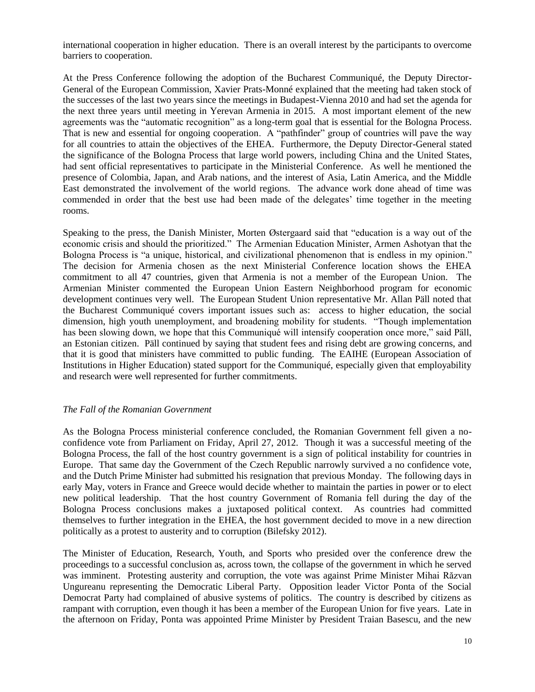international cooperation in higher education. There is an overall interest by the participants to overcome barriers to cooperation.

At the Press Conference following the adoption of the Bucharest Communiqué, the Deputy Director-General of the European Commission, Xavier Prats-Monné explained that the meeting had taken stock of the successes of the last two years since the meetings in Budapest-Vienna 2010 and had set the agenda for the next three years until meeting in Yerevan Armenia in 2015. A most important element of the new agreements was the "automatic recognition" as a long-term goal that is essential for the Bologna Process. That is new and essential for ongoing cooperation. A "pathfinder" group of countries will pave the way for all countries to attain the objectives of the EHEA. Furthermore, the Deputy Director-General stated the significance of the Bologna Process that large world powers, including China and the United States, had sent official representatives to participate in the Ministerial Conference. As well he mentioned the presence of Colombia, Japan, and Arab nations, and the interest of Asia, Latin America, and the Middle East demonstrated the involvement of the world regions. The advance work done ahead of time was commended in order that the best use had been made of the delegates' time together in the meeting rooms.

Speaking to the press, the Danish Minister, Morten Østergaard said that "education is a way out of the economic crisis and should the prioritized." The Armenian Education Minister, Armen Ashotyan that the Bologna Process is "a unique, historical, and civilizational phenomenon that is endless in my opinion." The decision for Armenia chosen as the next Ministerial Conference location shows the EHEA commitment to all 47 countries, given that Armenia is not a member of the European Union. The Armenian Minister commented the European Union Eastern Neighborhood program for economic development continues very well. The European Student Union representative Mr. Allan Päll noted that the Bucharest Communiqué covers important issues such as: access to higher education, the social dimension, high youth unemployment, and broadening mobility for students. "Though implementation has been slowing down, we hope that this Communiqué will intensify cooperation once more," said Päll, an Estonian citizen. Päll continued by saying that student fees and rising debt are growing concerns, and that it is good that ministers have committed to public funding. The EAIHE (European Association of Institutions in Higher Education) stated support for the Communiqué, especially given that employability and research were well represented for further commitments.

# *The Fall of the Romanian Government*

As the Bologna Process ministerial conference concluded, the Romanian Government fell given a noconfidence vote from Parliament on Friday, April 27, 2012. Though it was a successful meeting of the Bologna Process, the fall of the host country government is a sign of political instability for countries in Europe. That same day the Government of the Czech Republic narrowly survived a no confidence vote, and the Dutch Prime Minister had submitted his resignation that previous Monday. The following days in early May, voters in France and Greece would decide whether to maintain the parties in power or to elect new political leadership. That the host country Government of Romania fell during the day of the Bologna Process conclusions makes a juxtaposed political context. As countries had committed themselves to further integration in the EHEA, the host government decided to move in a new direction politically as a protest to austerity and to corruption (Bilefsky 2012).

The Minister of Education, Research, Youth, and Sports who presided over the conference drew the proceedings to a successful conclusion as, across town, the collapse of the government in which he served was imminent. Protesting austerity and corruption, the vote was against Prime Minister Mihai Răzvan Ungureanu representing the Democratic Liberal Party. Opposition leader Victor Ponta of the Social Democrat Party had complained of abusive systems of politics. The country is described by citizens as rampant with corruption, even though it has been a member of the European Union for five years. Late in the afternoon on Friday, Ponta was appointed Prime Minister by President Traian Basescu, and the new